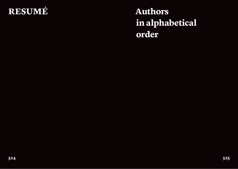## **resumé Authors**

# **in alphabetical order**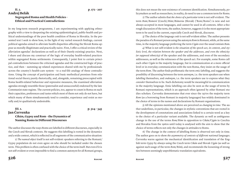## **II. 2. p. 172 – 207 Andrej Belák Segregated Roma and Health Policies –**

**Ethical and Practical Contradictions**

In my long-term research programme, I am experimenting with applying ethnography with a view to deepening the existing epidemiological, public-health and political understandings of the poor health condition of Roma in Slovakia. In the presented text I seek to show how, in the light of my varied research findings, current political agendas aimed to alleviate health disparities affecting the Slovak Roma appear as morally illegitimate and practically naive. First, I offer a critical review of the alleviation agendas' declarations as well as of their (barely existing) practice. Next, I share and discuss my construct of the logic of everyday health-related practices within segregated Roma settlements. Consequently, I point first to certain principal contradictions between the criticised agendas and the constructed logic of practice, and then – summing up related experiences shared with me by professionals across the country's health-care system – to a real-life analogy of these contradictions. Using the concept of participation and basic methodical premises from relational social theory purely rhetorically, and, alongside, remaining preoccupied with Roma health-related behaviour and repressive measures, the examined alleviation agendas strongly resemble those (paternalist and unsuccessful) endorsed by the late Communist state regime. The current policies, too, appear to count in Roma on such their capacities, preferences and tastes which most of them not only do not have, but which many of them simultaneously tend to consider, experience and resist as morally and/or qualitatively undesirable.

## **Jan červenka**

#### **III. 1. p. 324 – 345**

## **Cikán, Gypsy and Rom – the Dynamics of Naming Roms in Different Discourses**

The author discusses the ways Roms are labelled in different discourses, especially in the Czech and Slovak contexts. He suggests this labelling is rooted in the dynamics and a wide context, which is reflected in all segments of the communicative situation:

1) *The named object* itself is not self-evident: speakers referring to the Romani/ Gypsy population do not even agree on who should be included under the chosen term. This problem is often confused with the choice of the term itself. But even if it is not self-evident or even impossible to find a common autonym for all Romani groups, this does not mean the non-existence of common identification. Simultaneously, policymakers as well as researchers, in reality, do need to use a common term for Roms.

2) The author admits that *the choice of a particular term* is not self-evident. The term *Rom*/*Romové* (Czech)/*Róm*/*Rómovia* (Slovak) ('Rom/Roms') is new and not always accepted in most languages, and cannot be used in all contexts. After a thorough discussion of the term, the author, however, suggests it is the most appropriate term to be used in the current, especially Czech and Slovak, discourse.

3) The choice of the *language code* is not self-evident either. The author presents the paradox of a Romani person using the autonym *Rom* in Romani, while, at the same time, in the majority language preferring the term *Cigán* over the usual romism *Rom*.

4) What is not self-evident is *the situation of the speech act, its context, and stylistic level, the relation between the speaker and the addressee, and even the ethnicity (or supposed ethnicity)* of the speaker and the addressee, and even of the secondary addressees, as well as the witnesses of the speech act. For example, some Roms call each other *Cigán* in the majority language, but in communication at a more official level or in everyday communication with the non-Roma, they insist on the usage of the term *Rom*. The author finds problematic the term *emic labelling*, and suggests the possibility of discerning between the term *autonym*, i.e. the term speakers use when *labelling* themselves, and *endonym*, i.e. the term speakers use to express what they *consider* themselves to be. Such dichotomy would be meaningful in communication in the majority language. Emic labelling can also be seen as the usage of terms by Romani representations, which is an approach often ignored by other Romani studies scholars. Červenka demonstrates that ever since the 1970s the majority term *Rom* (as a borrowing from Romani in majority languages) has widely dominated in the choice of terms in the names and declarations by Romani organisations.

5) All the opinions mentioned above are perceived as *changing in time*. The author underlines, in particular, the changes in stylistic conventions that are rooted in the development of connotations and associations linked to a certain word as a key to the choice of a particular variant available. The dynamic as well as ambiguous change in the use of the terms *Rom/Róm* in opposition to *Cikán/Cigán* in Czechia and Slovakia from the 1960s until today is analysed with the aim to show that the choice of terms reflects not only the changes in attitudes to Roms.

6) The change in the context of labelling Roms is observed not only in time. The author goes on to show *the asymmetry of contexts of different national languages*. Červenka warns against the mechanical identification and translation of the English term *Gypsy* by always using the Czech term *Cikán* and Slovak *Cigán* (as well as against such usage of the term *Rom/Róm*), and recommends the loosening of strong ties between seemingly unproblematic translation equivalents.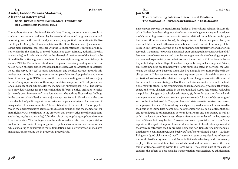#### **I. 3. p. 84 – 103 Andrej Findor, Zuzana Maďarová, Alexandra Ostertágová Social Justice in Slovakia: The Moral Foundations of a Contentious Political Issue**

The authors focus on the Moral Foundations Theory, an empiricist approach to studying the asymmetrical interplay between intuitive moral judgments and moral reasoning, and on the role it could play in analysing political contestation in the Slovak Republic. Using the Slovak adaptation of the Moral Foundations Questionnaire as the main analytical tool together with the Political Attitudes Questionnaire, they set to identify the plurality of moral foundations (care, fairness, authority, loyalty, and sanctity) and their relationship to the ideological preferences of the Slovak public and its distinctive segment – members of human rights non-governmental organisations (NGOs). The authors introduce an empirical case study dealing with the contested notion of social justice embodied in the revised Act on Assistance in Material Need. The survey  $(n = 298)$  of moral foundations and political attitudes towards this revised Act through an unrepresentative sample of the Slovak population and members of human rights NGOs found conflicting understandings of social justice (e.g. fairness): as proportionality for the unrepresentative sample of the Slovak population and as equality of opportunities for the members of human rights NGOs. The survey also provided evidence for the contention that different political attitudes to social justice rely on different sets of moral foundations. The authors discuss these findings in the context of racialised ethnic prejudice against Roma in Slovakia and the considerable lack of public support for inclusive social policies designed for members of marginalised Roma communities. The identification of the so-called 'moral gap' between the unrepresentative sample of the Slovak population and the members of human rights NGOs contributes to the assertion that conservative moral foundations (authority, loyalty and sanctity) fulfil the role of in-group/out-group boundary making mechanism. This finding enables the authors to discuss further the potential as well as the constraints of designing effective political communication frames which, while appealing to conservative moral foundations, will deliver prosocial, inclusive messages, transcending the in-group/out-group divide.

## **II. 1. p. 146 – 171 Jan Grill The transforming Fabrics of Intercultural Relations: The Modes of Co-Existence in Tarkovce in East Slovakia**

This chapter explores the transforming fabrics of intercultural relations in East Slovakia. Rather than theorising models of co-existence in generalising and top-down models assuming pre-existing social formations defined through homogenising ethnic lenses (Roma and non-Roma), this chapter turns its focus on a particular dynamics and differentiated patterns of interaction in a local context of the village of Tarkovce in East Slovakia. Drawing on a long-term ethnographic fieldwork and historical research, it attempts to provide a historical-cum-ethnographic reconstruction of different modes of co-existence and complex entanglements in the changing group formations and asymmetric power relations since the second half of the twentieth century until today. In this village, Roma live in spatially marginalised segment *Taboris*, on streets inhabited predominantly by Roma families located 'in between' the *Taboris* and the village core, but some Roma also live alongside non-Roma villagers in the village centre. This chapter examines how the present pattern of spatial and social organisation has developed in relation to state policies, changing geopolitical forces and borders, and economic strategies. It outlines the historical context in which the traditional majority of non-Roma groupings symbolically and spatially occupied the village centre and Roma villagers settled in the marginalised 'Gypsy settlement'. Following the political changes in Czechoslovakia after 1948, this order was transformed with the implementation of several socialist policies towards 'citizens of Gypsy origins', such as the liquidation of old 'Gypsy settlements', state loans for constructing houses, or employment policies. The resulting mixed pattern, in which some Roma moved to the position of immediate neighbours, has generated various social differentiations and reconfigured local hierarchies between local Roma and non-Roma, as well as within the local Roma themselves. These differentiations reflected the key assumptions of the evolutionary ladder of progress embraced by socialist discourses. Some aspects of this spatio-temporal framework and forms of classifications permeated the everyday categories used by ordinary Roma and non-Roma for making moral distinctions on a continuum between 'backward' and 'more cultured' people – i.e. those 'living on a (good civilizational) level'. The socialist state categorisations influenced the local classificatory matrix, and Roma individuals selectively and contextually deployed these social differentiations, which fused and intersected with other vectors of difference existing within the Roma world. The second part of the chapter explores the effects of post-socialist transformation characterised by ethnicisation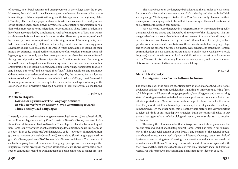of poverty, neo-liberal reforms and unemployment in the village since the 1990s. Moreover, the social life in the village was greatly influenced by waves of Roma asylum seeking and labour migration throughout the late 1990s and the beginning of the 21<sup>st</sup> century. The chapter pays particular attention to the most recent re-configuration of the existing social order, power asymmetries and spatial re-organisation in relation to the most recent Roma migrations to Great Britain. These forms of migration have been accompanied by simultaneous rural-urban migration of local non-Roma youth in search for socio-economic opportunities. These two processes, reinforced by the conspicuous consumption of the returning successful Roma migrants, have led to increased visibility of Roma in the village centre and to redrawing power asymmetries, and have challenged the ways in which Roma and non-Roma see their mutual co-existence, neighbourliness and modes of interaction. For most Roma villagers, migration not only gave them an opportunity, but also effectively manifested through social practices of Roma migrants that 'the tide has turned'. Roma migration to Britain challenged some of the existing hierarchies and was perceived rather ambiguously by non-Roma villagers. Some non-Roma villagers suggested that England helped 'our Roma' and 'elevated' their 'level' (living conditions and manners). Other non-Roma experienced the success displayed by the returning Roma migrants in terms of what G. Hage characterises as 'relational envy' (Hage, 2002). Successful Roma migrants were seen as moving faster than non-Roma villagers who frequently experienced their previously privileged position in local hierarchies as challenged.

#### **III. 2. p. 346 – 373 Markéta Hajská** *Gažikanes vaj romanes?* **The Language Attitudes of  Vlax Roma from an Eastern Slovak Community towards Three Locally Used Languages**

The study is based on the author's long term research (since 2000) in a sub-ethnically mixed Roma village inhabited by Vlax/Lovari and Non-Vlax Roma, speakers of Northern Central Romani in Eastern Slovakia. The village is inhabited by monolingual non-Roma using two varieties of Slovak language (the official standard language, as H-code = high code, and local *Šariš* dialect, as L-code = low code); bilingual Rumungro Roma, speakers of North-Central (N-C) Romani and Slovak language; and trilingual Vlax Roma, speakers of N-C Romani, Vlax Romani and Slovak. The members of each ethnic group have different views of language prestige, and the meaning of the language of higher prestige in the given *diglotic situation* is always very specific: each speech community regard its own language as a code connected to higher prestige.

The study focuses on the language behaviour and the attitudes of Vlax Roma, for whom Vlax Romani is the cornerstone of Vlax identity and the symbol of high social prestige. The language attitudes of the Vlax Roma not only characterise their own opinions on languages, but also reflect the meaning of the social position and social status of the speech communities.

For Vlax Roma, every language in a *polyglotic situation* is connected to specific domains, which are shared and known by all members of the Vlax groups. This language behaviour is also visible in interactions between Roma and Non-Roma, and certain situations are characterised by the use of different kinds of strategies, such as parallel communication, demonstration of the ethnic status, hidden language plays, and overlooking others on purpose. *Romanes* covers all domains of the inter-Romani communication of Vlax Roma in private and also public space. *Gažikanes* (Slovak language) is used only for communication with Non-Roma, intra-Romani communication. The use of this code among Roma is very exceptional, and relates to a lower status or can be connected to discourse code switching.

#### **I. 1. p. 40 – 58 Milan Hrabovský Antiziganism as a Barrier to Roma Inclusion**

The study deals with the problem of antiziganism as a racist concept, which is not as obvious as 'ordinary' racism. Antiziganism is gaining on importance. Life in a 'ghetto', life in poverty, illiteracy, shortage, pauperism, lack of hygiene and the alarming state of housing mean that we indeed have a real problem across society. But all our efforts repeatedly fail. Moreover, some authors begin to blame Roma for this situation. They assert that Roma have adopted maladaptive strategies which constantly ruin their lives. On the other hand, this is not the whole picture. It is very important to reject all kinds of any maladaptive strategies, but if the claim still exists in our society that 'gypsies' are 'inferior biological species', we must also turn to another explanation.

This study therefore concludes that antiziganism is not about prejudices, biases and stereotypes, but about *acting* against Roma, which has roots in *the somatisation* of the given social context of their lives. If any member of the general population showed an equivalent level of poverty, illiteracy, shortage, pauperism, lack of hygiene and an alarming state of housing, their situation would not be measured and somatised as with Roma. To sum up: the social context of Roma is explained with their *race*, and the social context of the majority is explained with social and political *factors*. For this reason, we may assign antiziganism to racist ideology as such.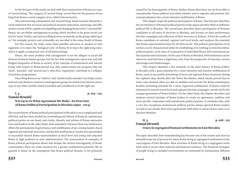In the first part of this study, we deal with Nazi construction of Roma as a type of 'asocial being'. The category of 'asocial being' served Nazi for the purpose of making from Roma a racial category of so-called *Untermenschen*.

This interweaving somatisation and 'asocial being' heads towards ultimately a racist statement that *no* social and political measure (education, nurturing, and affirmative action) will be capable of compelling and changing Roma to live 'a normal life'. Hence, we can define antiziganism as *acting*, which ascribes to the given social context its 'soma' (body), and such ascribing focuses exclusively on the group called 'gypsy'. For example, poverty and criminality are *inscribed* in the soma (body) of Roma.

For this reason, the study raises three possible outcomes or answers to antiziganism: a) to reject the 'biological view' of Roma; b) to reject the right-wing view; and c) to apply a contextual view of all human beings.

Hence, the main problem with antiziganism is not the alleged or actual differences between human groups, but the fact that antiziganism *rejects* true and fullfledged integration of Roma in society. If the concepts of somatisation and 'asocial being' with respect to Roma prevail (e.g. they cannot attain any progress; they are 'weak', 'parasitic' and 'asocial race'), then *these* 'arguments' contribute to a collapse of inclusive programmes.

Describing Roma as an 'inferior' and 'intellectually retarded' race helps racists (and not only them) to construct a homogenous group, for which every hatred, stereotype or any other (verbal) attack is justified and considered to be the right one.

#### **I. 4. p. 104 – 142 Tomáš Hrustič 'It Is Up to Us What Agreement We Make'. An Overview of Roma Political Participation in Slovakia (1990 – 2014)**

The recent history of Roma political participation in Slovakia is very complicated and effortful, and has been marked by overlooking and refusal of Roma by mainstream political parties on one hand, and rivalry, disunity and schism of Roma representatives and leaders on the other hand. And somewhere between these two hindrances, efforts for participation in governance and mobilisation of up-coming leaders (local, regional and national) were born, and the first small positive results were personified in successful elected Roma representatives at local level and young and educated Roma in high positions in state administration. The enumeration of examples of Roma political participation shows that despite the diverse heterogeneity of Roma communities, there are some instances for a greater mobilisation potential. My argument is based on the assumption that Roma political disunity is not primarily

caused by the heterogeneity of Roma. Rather, Roma elites have not yet been able to conceptualise Roma political and ethnic identity and to organise and promote this conceptualisation into a more intensive mobilisation of Roma.

This chapter maps the political participation of Roma. The first part describes the recent history of Romani political parties in the 1990s and their effort to influence political life in Slovakia. The second part describes direct participation of Romani candidates in all types of elections in Slovakia, and focuses on their performance, election campaigns and reflection of their successes or failures. It lists the results of Roma candidates at national, regional and local levels, and analyses the potential that Roma representatives have for all these levels. The political participation of minorities can be characterised either by establishing of or working in minority/ethnic political parties, or by ways of cooperation of individual Roma with mainstream political parties and structures. In the case of Roma in Slovakia, both tendencies can be observed, and both have a legitimacy and, from the perspective of minority, certain advantages and disadvantages.

This chapter identifies a few moments in the short history of Roma politics in Slovakia with a great potential for a more intensive and massive mobilisation of Roma, such as successful networking of local and regional Roma structures during the euphoric days shortly after the Velvet Revolution, which clearly proved that in some cases Romani elites are able to mobilise and activate the Roma constituency. Another promising potential for a more organised mobilisation of Roma could be witnessed in several recent local and regional election campaigns, mostly led by the younger generation of Roma leaders. On the other hand, the chapter describes and analyses several attempts of Roma leaders to create an agreement, coalition and more specific cooperation with mainstream political parties. It concludes that, with a very few exceptions, mainstream political parties always ignored Roma leaders, or tried to use mostly short-term agreements with them to attract Roma votes or as election tokenism.

#### **II. 3. p. 208 – 223 Tomáš Hrustič**

## **Usury in segregated Romani settlements in East Slovakia**

The paper describes how moneylending has become one of the easiest and most sustainable ways out of poverty for many Roma living in segregated settlements in the rural regions of East Slovakia. Most activities of Roma living in a segregated settlement seek to secure their material and financial existence. The financial strategies of people living in excluded environments are motivated by mechanisms different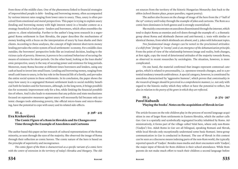from those of the middle class. One of the phenomena linked to financial strategies of impoverished people is debt – lending and borrowing money, often accompanied by various interest rates ranging from lower rates to usury. Thus, usury is often perceived from emotional and moral perspectives. This paper is trying to explain usury (lending and borrowing money with high interest rates) in a broader context as a strategy beneficial to both parts – lenders and borrowers, which often resembles the patron vs. client relationship. Further to the author's long term research in a segregated Roma settlement in East Slovakia, the paper describes the mechanisms of money lending with a focus on the interpretation of usury by loan sharks and their clients. According to these analyses, the concept of high interest short-term money lending pervades the entire system of local settlements' economy. For a middle class outsider, the borrowers' perspective looks like an irrational decision, leading to the vicious cycle of poverty. However, it proves to be a rational behaviour of securing the means of existence for short periods. On the other hand, looking at the loan sharks' emic perspective, usury is the way of securing power and existence for long periods. Moreover, many Roma become at different times borrowers and lenders, using any cash at hand to invest into small loans. Lending and borrowing money, ranging from small cash loans to usury, is the key role in the financial life of a family, and pervades the entire social system in these settlements. In its conclusion, the paper shows the ways how usury in a segregated Romani settlement leads to social mobility beneficial both for lenders and for borrowers, although, in the long term, it brings possibilities for economic improvement only for a few, while limiting the financial possibilities of others. And it also leads to statements that any policies and state mechanisms focused on repressive measures against usury will necessarily fail because only systemic changes tools addressing poverty, like official micro-loans and micro-financing, have the potential to cope with usury and its related side-effects.

#### **Eva Krekovičová**

#### **III. 4. p. 398 – 415**

#### **The Comic Figure of a Rom in Slovakia and Its Changes over Time through the Example of Anecdotes and Cartoons**

The author based this paper on her research of cultural representations of the Roma minority, as seen through the eyes of the majority. She observed the image of Roma through their reflection as comic heroes. The comic nature of the hero is based on the principle of superiority and incongruence.

*The comic figure of the Rom is characterised as a specific variant of a comic hero with the centre of extension in the territory of today's Slovakia and Hungary.* The oldest sources from the territory of the historic Hungarian Monarchy date back to the 1680s (school theatre plays, prayer parodies, vagant poetry).

The author also focuses on the change of image of the hero from the 2<sup>nd</sup> half of the 19th century until today through the example of jokes and cartoons. The Rom as a comic hero dominates in both genres and is strongly essentialised.

She mainly concentrates on anecdotes disseminated through the internet, which tend to depict Roma as enemies and evil-doers through the example of: 1. a thematic group about Roma and skinheads (heroes and anti-heroes); 2. texts with similar or identical themes, from which skinheads are absent; and 3. jokes with holocaust topics.

*Two fundamental image changes* can be noted in the proclaimed attitudes: *1) a shift from ' foreign' to 'enemy'*; and *2) an emergence of the dehumanisation principle.* From the point of view of the relationship between image and reality, both changes, at first sight, copy the trend of deteriorated attitudes of the majority towards Roma, as observed in recent researches by sociologists. The situation, however, is more complicated.

On one hand, the material confirmed that images represent contextual categories, which is related to processuality, i.e. openness towards changes, and to a potential tendency towards ambivalence. A special category, however, is constituted by anecdotes characterised by 'aggressive humour', which proves that *contextuality in the research of images should be perceived in a comprehensive manner*, i.e. not only with regard to the historic reality which they reflect or have the potential to reflect, but also *in relation to the poetry of the genre in which they are reflected*.

#### **III. 3. p. 374 – 397 Pavel Kubaník 'Playing the books'. Notes on the acquisition of Slovak in Gav**

The article focuses on the role children play in the process of second language acquisition in one of larger Rom settlements in Eastern Slovakia, which the author calls *Gav*. Gav is a spatially and symbolically segregated locality inhabited by Roms. Administratively, it forms part of the village called Valal here, where only non-Roms ('Gadjos') live. Adult Roms in Gav are all bilingual, speaking Romani and Slovak, while local Slovaks only exceptionally understand some basic Romani. Intra-group communication in Gav is conducted in Romani. The use of Slovak in this context can be seen as a discourse means indexing parts of the non-Rom world, the typically reported speech of 'Gadjos'. Besides mass media and short encounters with 'Gadjos', the major input of Slovak for Rom children is their school attendance. While Rom parents do not make much effort to teach their children a second language before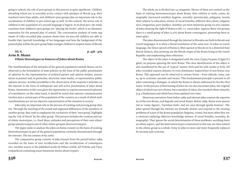going to school, the role of peer groups in this process is quite significant. Children attending school are in everyday active contact with speakers of Slovak (e.g. their teachers) more than adults, and children's peer groups play an important role in the socialisation of children in pre-school age as well. In this context, the active role of children in the acquisition of a second language is logical. In its final part, the study examines how children's peer groups are 'playing the books', which is an idiomatic expression for the pretend play of school. The conversation analysis of some segments of video-recorded play sessions shows how six-year-old children are able to handle their (partial) knowledge of two languages and how the background of the pretend play within the peer group helps younger children to acquire items of Slovak.

#### **III. 6. p. 438 – 479 Arne B. Mann Ethnic Stereotypes as Sources of Jokes about Roma**

The manifestations of the attitudes of the general population towards Roma can be observed in the formulation of state policies on the basis of the public presentation of opinions by the representatives of political parties and opinion leaders, presentation in printed and, in particular, electronic mass media, or representative public opinion surveys. Another possibility is the observation of the majority's attitudes on the internet in the form of widespread and still active presentation of jokes about Roma. Anonymity in this case gives the opportunity to express uncensored opinions of contributors; on the other hand, it should be noted that internet communication involves just a certain part of the population of the country, as a result of which such manifestations are not an objective representation of the situation in society.

Jokes play an important role in the process of creating and proving group identity. Through the mocking of the actual and supposed differences of the members of another group, they seek to emphasise the exclusivity of their 'own group', highlighting the 'risk of threat' by the other group. This process includes the creation and use of ethnic stereotypes, i.e. fixed ideas, attitudes and perceptions of their own ethnic group (*autostereotypes*) and of other ethnic group(s) (*heterostereotypes*).

The paper seeks to analyse the jokes on Roma created on the basis of existing heterostereotypes in part of the general population, currently disseminated through the internet. The set consists of 631 units.

The comparative group consists of jokes known from the period before 1989, recorded on the basis of own recollections and the recollections of contemporaries. Another source is the published works by Milan Leščák, Jiří Polívka and Viera Gašparíková containing many humorous stories about Gypsies.

The whole set is divided into 14 categories. Eleven of them are created on the basis of existing heterostereotypes about Roma: their relation to work, crime, demography (increased natality), hygiene, sexuality (promiscuity, polygamy, incest), their relation to education, misuse of social benefits, different skin colour, religiousness, emigration, poor intellect. Another, yet most numerous group (22.5%) consists of jokes denying the right of Roma to life, i.e. racist jokes. Against these two groups, there is a small group of jokes (3.3%) about Roma cunningness, presenting them as smart guys.

The jokes disseminated through the internet in Slovakia are both in Slovak and Czech languages. It is often a literal translation of the same text. In jokes in Czech language, the direct speech of Roma is often quoted in Slovak (or in a distorted East-Slovak dialect), thus pointing out the Slovak origin of the Roma living in the Czech Republic and emphasising their otherness.

The object of the jokes is designated with the term Gypsy/Gypsies (Cigán/Cigáni), on purpose ignoring the term Roma. The clear identification of the object is also manifested by the use of 'typical' names: *Dežo* and his wife *Araňa* or *Erža*. All jokes recorded express distance or even dominance (superiority) of non-Roma over Roma. This approach can be observed in various forms – from ridicule, irony, satire, up to cynicism, sarcasm and racism. This fundamental principle is present in all jokes containing a dialogue, in which the Roma is always addressed by his/her first name. In the process of functioning of jokes we can also encounter jokes, the original object of which was not a Roma, but a member of other, also mocked ethnic minority (e.g. a Ruthenian) and which have been updated over time.

Humorous narratives from before 1989 and internet jokes express the superiority of the non-Roma, and degrade and mock Roma. Before 1989, Roma were presented as 'comic figures', 'harmless fools', and are seen through 'gentle humour'. The jokes spread through the internet are formally shorter and respond to the existing problems of a part of the Roma population (hygiene, crime), but more often they are a construct replacing objective knowledge (misuse of social benefits, sexuality, demography). They ignore the social determination of these problems, ascribing them an ethnic aspect, and the heterostereotypes constructed in this way are then related to the ethnic group as a whole. Irony in jokes is more and more frequently replaced by sarcasm and cynicism.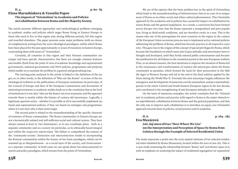#### **II. 4. p. 60 – 83 Elena Marushiakova & Vesselin Popov The impacts of  'Orientalism' in academia and policies on cohabitation between Roma and the majority society**

The article presents different approaches and methodological problems emerging in academic studies and policies which target Roma living in Eastern Europe or those who used to live in that region and, during different periods, left this region and resettled elsewhere. The paper presents some major problems (with no claims of completeness) arising from the socio-ideological paradigms, within which Roma have been placed for the past approximately 20 years of transition in Eastern Europe, crosscutting them with issues of  'Orientalism'.

Certainly, all countries in this region and their Romani communities are unique and have specific characteristics, but there are enough common features and models (both from the point of view of academic knowledge and supranational governments, national governments and NGO policies, programmes and projects), which enable us to examine the problem in a general and generalising way.

The starting point analysed in the article is linked to the definition of the target, or, in other words, to the definition of 'Who are the Roma?' A review of the terminological evolution in the publications of European institutions (in particular, of the Council of Europe and later of the European Commission) and documents of national governments or academic studies leads us to the conclusion that at the level of institutions it is not clear 'who are the Roma' not even at present, and the approach towards them is mostly within the frames of century-old stereotypes. Logically, a legitimate question arises – whether it is possible at all to successfully implement national and supranational policies, if they are based on strategies and programmes where it is not clear who is their main target.

The second point is related to the misunderstanding of the specific character of existence of Roma communities. The Roma communities in Eastern Europe are not a hermetically isolated and self-sufficient social and cultural system. They have always existed at least in 'two dimensions', or in two coordinate plans – both as a separate community and as a society (in particular, as its ethnically-based integral part within the respective nation-state). The failure to comprehend the essence of the 'community-society' distinction and interconnection results in incorporating the Romani communities within the frames of two basic paradigms, which can be summed up as *Marginalisation* – as a social layer of the society, and *Exoticisation* – as a separate community. In both cases we can speak about two interconnected research and policy paradigms, which stream from the prism of Orientalism.

We are of the opinion that the basic problem lays in the spirit of Orientalism, which leads to the misunderstanding of distinctiveness (but in no case of as uniqueness) of Roma as an ethno-social and ethno-cultural phenomenon. This Orientalist approach by the academia and in policies has a powerful impact on cohabitation between Roma and the general population. As a result, a conviction has been formed across Europe over time that the Roma represent a marginalised and poor population, living in third-world conditions, and are therefore exotic in a way. This is the reason why one of the prerequisites for most countries in the region in the context of the European Union accessions process was to implement active national policies addressing the problems of Roma, which has become practice in all respective countries. This gave rise to the origins of the concept of special privileges for Roma, which became the foundation on which mass anti-Gypsy attitudes and stereotypes were rethought and developed, until they firmly entered public consciousness and became the justification for all failures in the transition period in the new European realities. Thus, in an absurd manner, the best intentions to improve the situation of Roma led to the renaissance and transformation of century-old stereotypes about the Roma community as parasites, which formed the basis for their persecution in the Middle Ages in Western Europe and led in the end to the final solution applied by the Nazis during the World War II. Precisely this new stereotype largely influences the emergence and development of numerous overtly nationalistic and pro-nationalistic parties in the entire Central and South-Eastern European region in the last decade, and contributed to the strengthening of anti-European attitudes in the region.

On the basis of numerous examples, the article concludes that the 'Orientalism' in academia, policies and practice with regard to Roma is the major obstacle to an unproblematic cohabitation between Roma and the general population, and that the only way to improve such cohabitation is to introduce an equal, non-Orientalist approach towards them in policies, social practice and in academia.

#### **II. 6. p. 264 – 283 Eva Mazárová**

## *Ade, káj amen dživas***/'Here Where We Live' (on the Interpretation and Perception of Space by Roma from Gelnica through the Example of Selected Residential Units)**

The study represents a probe into the socio-spatial relations of two selected residential units inhabited by Roma (Romanies), located within the area of one city. This is a case study examining the relationship between 'Roma' and 'non-Roma' space in it, with an emphasis on analysing the impact of residential segregation (or separation)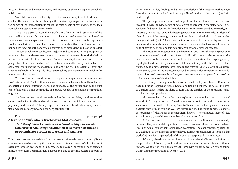on social interaction between minority and majority as the main topic of the whole publication.

Since I do not make the locality in the text anonymous, it would be difficult to conduct the research with the already rather abstract space parameter. In addition, the names of the residential units reflect the relationship of respondents to the location, which is essential for the research.

The article also addresses the classification, function, and assessment of the area quality in terms of Roma living in that location, and shows the opinion of respondents on profane space and its events. Of course, from the researcher's perspective (as outsider), such research can be carried out only with certain limitations and boundaries in terms of the analytical observation of emic views and stories (insider).

The work seeks to move beyond subjectivity boundaries to the perception of research subjects. It determines the *emic* character of the research. With the help of mental maps that reflect the 'lived space' of respondents, it is getting closer to their perspective of the place they live in. This material is valuable mostly for its subjective character (capturing the most essential and omitting the 'non-essential' from the respondent's point of view.) It is about approaching the framework in which informants grab 'their' space.

The term 'border' is understood in the paper as a spatial category, separating two 'material worlds' with different characteristics, which results from the reflection of spatial and social differentiations. The existence of the border enables the existence of not only a single community or a group, but also of antagonist communities or groups.

The facts outlined herein are reflected in the town realities, and these studies capture and scientifically analyse the space structures in which respondents move physically and mentally. The key experience is space classification by quality, reflexion, means of copying, and becoming familiar with.

#### **II. 4. p. 224 – 246**

**Alexander Mušinka & Kvetoslava Matlovičová** *The Atlas of Roma Communities in Slovakia 2013* **as a Variable Database for Analysing the Situation of Roma in Slovakia and Its Potential for Further Researches and Analyses**

This paper presents selected data from the recent nationwide research *Atlas of Roma Communities in Slovakia 2013* (hereinafter referred to as *'Atlas 2013'*). It is the most extensive research ever made in this area, and focuses on the monitoring of selected indicators on Roma communities. This paper is one of the first selected outputs of the research. The key findings and a short description of the research methodology form the content of the final publication published by the UNDP in 2014 (Mušinka et al., 2014).

The paper presents the methodological and factual limits of this extensive research. Given the wide range of data identified straight in the field, not all figures identified have identical informative value. To interpret the data correctly, it is necessary to take into account its heterogeneous nature. We also tackled the issue of identification of the target group; we hold the view that the division of quantitative data (or estimates) into 'official' and 'actual' is incorrect both in the lay and in the academic discourse, because the data is very often identical in terms of relevance in spite of having been obtained using different methodological approaches.

The research has a great analytical potential, and its results can help not only to better understand the situation of Roma in Slovakia, but can also serve as a principal database for further specialised and selective exploration. The mapping clearly highlights the different representations of Roma not only in the different Slovak regions, but, at a more detailed level, also in the different districts or municipalities. From among selected indicators, we focused on those which complete the methodological picture of the research, and are, to a certain degree, examples of the use of the different categories of obtained data.

Even though it is a generally known fact that the highest share of Roma can be found in the Regions of Prešov, Košice and Banská Bystrica, the data at the level of districts suggests that the share of Roma in the districts of these regions is geographically disproportional.

This research was for the first time exploring the size and territorial location of sub-ethnic Roma groups across Slovakia. Against lay opinions on the prevalence of Vlax Roma in the south of Slovakia, *Atlas 2013* clearly shows their presence in some districts only, primarily in the Western Slovak region. The maps annex also shows the presence of Vlax Roma in the northern districts. The estimated share of Vlax Roma is min. 3.54% of the total number of Roma in Slovakia.

As for economic activities, the data clearly shows that Roma are economically active in all regions, and the quantitative share of economically active Roma in Slovakia, in principle, copies their regional representation. The data concerning quantitative estimates of the numbers of unemployed Roma or the numbers of Roma having worked abroad for longer periods of time can be interpreted in a similar way.

*Atlas 2013* also shows the very low education level of the Roma population and the poor share of Roma in people with secondary and tertiary education in different regions. What is positive is the fact that Roma with higher education can be found within Roma communities all over Slovakia.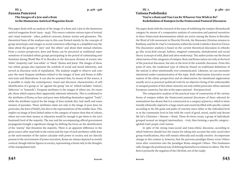#### **III. 5. p. 416 – 436 Zuzana Panczová The Images of a Jew and a Rom in the Humorous-Satirical Magazine** *Kocúr*

This paper deals with an analysis of the image of a Rom and a Jew in the humoroussatirical magazine *Kocúr* (1919 – 1945). This source contains various types of textual and visual materials – jokes, political cartoons, feature stories and glossaries. The theoretical basis of the analyses was in this case formed mainly by the concepts of group stereotypes and images as social constructs reflecting in a simplified way the ideas about the groups of 'ours' and 'the others' and about their mutual relations. From a certain perspective, Jews and Roma can be perceived as traditional representatives of excluded ethnic groups participating in the period of culminating anti-Semitism during World War II in Slovakia in the discourse division of society into 'white' (majority) and 'non-white' or 'black' (Roma and Jews). The images of these two ethnic groups also represent the symbols of social and moral inferiority, and served as discourse tools of repudiation. The analysis sought to observe and compare the most frequent attributes related to the images of Jews and Roma in different texts and illustrations. It can also be assumed that, by means of this source, it is possible to study the contemporary visual and discourse characteristics of selfidentification of a group as 'us' against the group 'not us' (which includes 'traitors', 'defectors' or 'bastards'). Frequent attributes in the images of others are, for example, those which express their (apparently inherent) inferiority. This is confirmed in the attributes of Roma as liars and poor men defending themselves against "lords", while the attributes typical for the image of Jews include dirt, bad smell and transmission of parasites. These attributes relate not only to the image of poor Jews (in particular, the Jews of Halič), but also to the representatives of the middle class. This implies an image of Jews linked rather to the category of nature than that of culture, where not even their money or education would be enough to get them to the (civilisational) level of the majority. The war and the accompanying official government propaganda brought a significant change by shifting the focus on the identification of the 'enemy' that threatens the majority. There is an apparent difference in the given source after 1939 both in the extent and the type of such attributes: while Jews as the arch-enemies of the nation calculate with power in society and are directly present in the environment of power execution, Roma are always depicted as mostly comical, though inferior figures in society, representing a threat only in the thoughts of the manipulated mob.

## **III. 7. p. 480 – 522 Tatiana Podolinská 'You're a Rom and You Can Be Whoever You Wish to Be!' Redefinition of** *Romipen* **in the Pentecostal Pastoral Discourse**

The paper deals with the research of the ways of redefining the *romipen* (Romahood) category by means of a comparative analysis of conversion and pastoral narratives in three Pentecostal denominations which are active among the Roma in Slovakia: the Word of Life movement in Plavecký Štvrtok, the Maranata Christian mission in Rudňany, and the St. Paul's Community within the Greek-Catholic Church in Čičava. The discoursive analysis is based on the current theoretical discussion in ethnology (the *social field concept*, *habitus*, *imagined community*, *identification*) and social theory (concept of *solid*, *fluid* and *ultra-modernity*). The author points out the forced *ethnicisation* of the categories of *romipen*, Rom and Roma nation not only at the level of the practical discourse, but also at the level of the scientific discourse. From this point of view, the *traditional* type of *ethnicity* (based on traditional definitions of the nation) is often intentionally over-communicated. Likewise, we can encounter intentional under-communication of this topic. Both *ethnicisation* (excessive accentuation of the ethnic perspective) and *de-ethnicisation* (its intentional suppression) usually serve as practical (political) tools for an objective fixing of the unfavourable or unequal position of this ethnic minority not only within particular ethno-national European countries, but also at the supra-national – European level.

The comparative analysis of the practical ways of construction of the various forms of *romipen* within the Pentecostal pastoral discourses of three selected denominations has shown that it is constructed as a *category of practice*, which is intentionally ethnically *emptied* to a large extent and creatively filled with specific content according to the life goals and paths of concrete users either at the individual level or at the community level in line with the creed of good, moral, useful and decent life [of a Christian = human = Rom]. Those *re-borns* create a group of individuals grouped around an integral intermediary – God, thus forming a specific category – (global) *God's people*, *God's nation*.

In spite of the strong trans-social and trans-ethnic discourse, according to which believers should lose the reason for taking into account the emic social intergroup stratifications, they still remain *ethnically* and *socially sensitive*. An important change in this context is, however, that the previous paradigm Roma *versus* Others turns after conversion into the paradigm Roma *alongside* Others. This fundamentally changes the positional way of defining themselves in relation to others. The *New Rom* is primarily the negation of the *Old Rom*, not of the *Gadjo*.